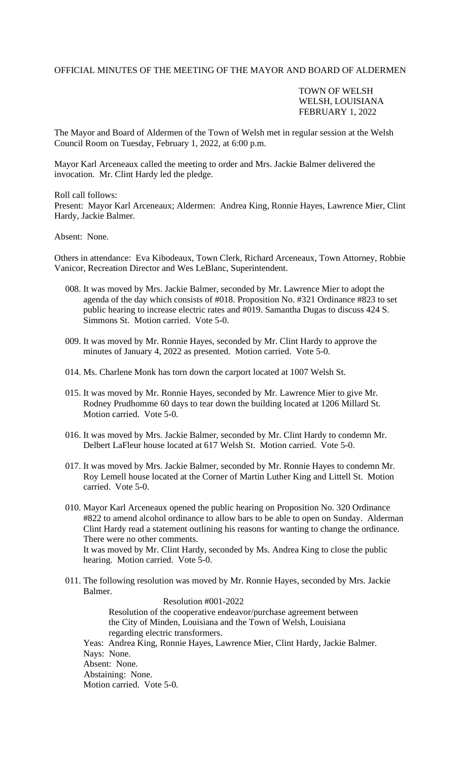## OFFICIAL MINUTES OF THE MEETING OF THE MAYOR AND BOARD OF ALDERMEN

## TOWN OF WELSH WELSH, LOUISIANA FEBRUARY 1, 2022

The Mayor and Board of Aldermen of the Town of Welsh met in regular session at the Welsh Council Room on Tuesday, February 1, 2022, at 6:00 p.m.

Mayor Karl Arceneaux called the meeting to order and Mrs. Jackie Balmer delivered the invocation. Mr. Clint Hardy led the pledge.

Roll call follows:

Present: Mayor Karl Arceneaux; Aldermen: Andrea King, Ronnie Hayes, Lawrence Mier, Clint Hardy, Jackie Balmer.

## Absent: None.

Others in attendance: Eva Kibodeaux, Town Clerk, Richard Arceneaux, Town Attorney, Robbie Vanicor, Recreation Director and Wes LeBlanc, Superintendent.

- 008. It was moved by Mrs. Jackie Balmer, seconded by Mr. Lawrence Mier to adopt the agenda of the day which consists of #018. Proposition No. #321 Ordinance #823 to set public hearing to increase electric rates and #019. Samantha Dugas to discuss 424 S. Simmons St. Motion carried. Vote 5-0.
- 009. It was moved by Mr. Ronnie Hayes, seconded by Mr. Clint Hardy to approve the minutes of January 4, 2022 as presented. Motion carried. Vote 5-0.
- 014. Ms. Charlene Monk has torn down the carport located at 1007 Welsh St.
- 015. It was moved by Mr. Ronnie Hayes, seconded by Mr. Lawrence Mier to give Mr. Rodney Prudhomme 60 days to tear down the building located at 1206 Millard St. Motion carried. Vote 5-0.
- 016. It was moved by Mrs. Jackie Balmer, seconded by Mr. Clint Hardy to condemn Mr. Delbert LaFleur house located at 617 Welsh St. Motion carried. Vote 5-0.
- 017. It was moved by Mrs. Jackie Balmer, seconded by Mr. Ronnie Hayes to condemn Mr. Roy Lemell house located at the Corner of Martin Luther King and Littell St. Motion carried. Vote 5-0.
- 010. Mayor Karl Arceneaux opened the public hearing on Proposition No. 320 Ordinance #822 to amend alcohol ordinance to allow bars to be able to open on Sunday. Alderman Clint Hardy read a statement outlining his reasons for wanting to change the ordinance. There were no other comments. It was moved by Mr. Clint Hardy, seconded by Ms. Andrea King to close the public hearing. Motion carried. Vote 5-0.
- 011. The following resolution was moved by Mr. Ronnie Hayes, seconded by Mrs. Jackie Balmer.

 Resolution #001-2022 Resolution of the cooperative endeavor/purchase agreement between the City of Minden, Louisiana and the Town of Welsh, Louisiana regarding electric transformers. Yeas: Andrea King, Ronnie Hayes, Lawrence Mier, Clint Hardy, Jackie Balmer. Nays: None. Absent: None. Abstaining: None. Motion carried. Vote 5-0.